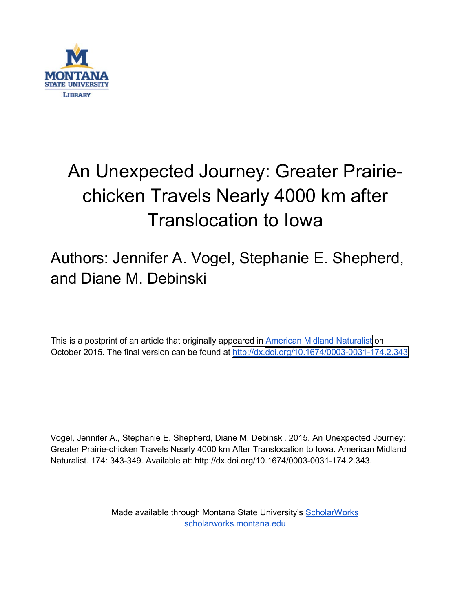

# An Unexpected Journey: Greater Prairiechicken Travels Nearly 4000 km after Translocation to Iowa

Authors: Jennifer A. Vogel, Stephanie E. Shepherd, and Diane M. Debinski

This is a postprint of an article that originally appeared in [American Midland Naturalist](https://www3.nd.edu/~ammidnat/index.html) on October 2015. The final version can be found at [http://dx.doi.org/10.1674/0003-0031-174.2.343.](http://dx.doi.org/10.1674/0003-0031-174.2.343)

Vogel, Jennifer A., Stephanie E. Shepherd, Diane M. Debinski. 2015. An Unexpected Journey: Greater Prairie-chicken Travels Nearly 4000 km After Translocation to Iowa. American Midland Naturalist. 174: 343-349. Available at: http://dx.doi.org/10.1674/0003-0031-174.2.343.

> Made available through Montana State University's [ScholarWorks](http://scholarworks.montana.edu/) [scholarworks.montana.edu](http://scholarworks.montana.edu/)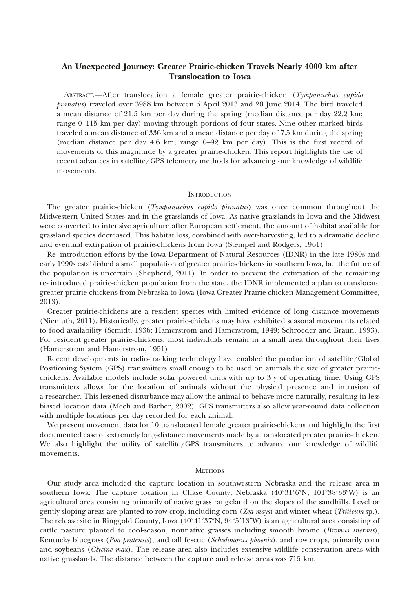## An Unexpected Journey: Greater Prairie-chicken Travels Nearly 4000 km after Translocation to Iowa

ABSTRACT.—After translocation a female greater prairie-chicken (Tympanuchus cupido pinnatus) traveled over 3988 km between 5 April 2013 and 20 June 2014. The bird traveled a mean distance of 21.5 km per day during the spring (median distance per day 22.2 km; range 0–115 km per day) moving through portions of four states. Nine other marked birds traveled a mean distance of 336 km and a mean distance per day of 7.5 km during the spring (median distance per day 4.6 km; range 0–92 km per day). This is the first record of movements of this magnitude by a greater prairie-chicken. This report highlights the use of recent advances in satellite/GPS telemetry methods for advancing our knowledge of wildlife movements.

#### **INTRODUCTION**

The greater prairie-chicken (Tympanuchus cupido pinnatus) was once common throughout the Midwestern United States and in the grasslands of Iowa. As native grasslands in Iowa and the Midwest were converted to intensive agriculture after European settlement, the amount of habitat available for grassland species decreased. This habitat loss, combined with over-harvesting, led to a dramatic decline and eventual extirpation of prairie-chickens from Iowa (Stempel and Rodgers, 1961).

Re- introduction efforts by the Iowa Department of Natural Resources (IDNR) in the late 1980s and early 1990s established a small population of greater prairie-chickens in southern Iowa, but the future of the population is uncertain (Shepherd, 2011). In order to prevent the extirpation of the remaining re- introduced prairie-chicken population from the state, the IDNR implemented a plan to translocate greater prairie-chickens from Nebraska to Iowa (Iowa Greater Prairie-chicken Management Committee, 2013).

Greater prairie-chickens are a resident species with limited evidence of long distance movements (Niemuth, 2011). Historically, greater prairie-chickens may have exhibited seasonal movements related to food availability (Scmidt, 1936; Hamerstrom and Hamerstrom, 1949; Schroeder and Braun, 1993). For resident greater prairie-chickens, most individuals remain in a small area throughout their lives (Hamerstrom and Hamerstrom, 1951).

Recent developments in radio-tracking technology have enabled the production of satellite/Global Positioning System (GPS) transmitters small enough to be used on animals the size of greater prairiechickens. Available models include solar powered units with up to 3 y of operating time. Using GPS transmitters allows for the location of animals without the physical presence and intrusion of a researcher. This lessened disturbance may allow the animal to behave more naturally, resulting in less biased location data (Mech and Barber, 2002). GPS transmitters also allow year-round data collection with multiple locations per day recorded for each animal.

We present movement data for 10 translocated female greater prairie-chickens and highlight the first documented case of extremely long-distance movements made by a translocated greater prairie-chicken. We also highlight the utility of satellite/GPS transmitters to advance our knowledge of wildlife movements.

#### **METHODS**

Our study area included the capture location in southwestern Nebraska and the release area in southern Iowa. The capture location in Chase County, Nebraska  $(40^{\circ}31'6''N, 101^{\circ}38'33''W)$  is an agricultural area consisting primarily of native grass rangeland on the slopes of the sandhills. Level or gently sloping areas are planted to row crop, including corn (Zea mays) and winter wheat (Triticum sp.). The release site in Ringgold County, Iowa  $(40^{\circ}41'37''N, 94^{\circ}5'13''W)$  is an agricultural area consisting of cattle pasture planted to cool-season, nonnative grasses including smooth brome (Bromus inermis), Kentucky bluegrass (Poa pratensis), and tall fescue (Schedonorus phoenix), and row crops, primarily corn and soybeans (Glycine max). The release area also includes extensive wildlife conservation areas with native grasslands. The distance between the capture and release areas was 715 km.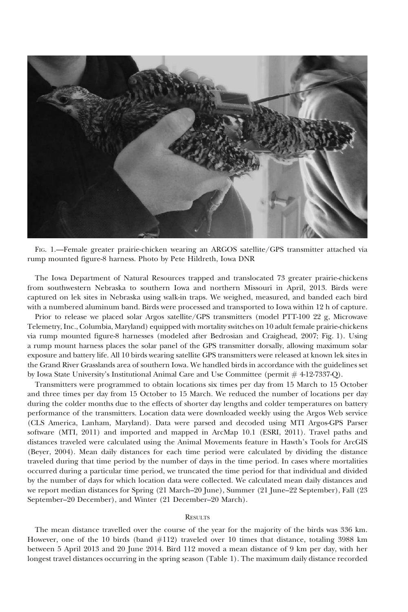

FIG. 1.—Female greater prairie-chicken wearing an ARGOS satellite/GPS transmitter attached via rump mounted figure-8 harness. Photo by Pete Hildreth, Iowa DNR

The Iowa Department of Natural Resources trapped and translocated 73 greater prairie-chickens from southwestern Nebraska to southern Iowa and northern Missouri in April, 2013. Birds were captured on lek sites in Nebraska using walk-in traps. We weighed, measured, and banded each bird with a numbered aluminum band. Birds were processed and transported to Iowa within 12 h of capture.

Prior to release we placed solar Argos satellite/GPS transmitters (model PTT-100 22 g, Microwave Telemetry, Inc., Columbia, Maryland) equipped with mortality switches on 10 adult female prairie-chickens via rump mounted figure-8 harnesses (modeled after Bedrosian and Craighead, 2007; Fig. 1). Using a rump mount harness places the solar panel of the GPS transmitter dorsally, allowing maximum solar exposure and battery life. All 10 birds wearing satellite GPS transmitters were released at known lek sites in the Grand River Grasslands area of southern Iowa. We handled birds in accordance with the guidelines set by Iowa State University's Institutional Animal Care and Use Committee (permit # 4-12-7337-Q).

Transmitters were programmed to obtain locations six times per day from 15 March to 15 October and three times per day from 15 October to 15 March. We reduced the number of locations per day during the colder months due to the effects of shorter day lengths and colder temperatures on battery performance of the transmitters. Location data were downloaded weekly using the Argos Web service (CLS America, Lanham, Maryland). Data were parsed and decoded using MTI Argos-GPS Parser software (MTI, 2011) and imported and mapped in ArcMap 10.1 (ESRI, 2011). Travel paths and distances traveled were calculated using the Animal Movements feature in Hawth's Tools for ArcGIS (Beyer, 2004). Mean daily distances for each time period were calculated by dividing the distance traveled during that time period by the number of days in the time period. In cases where mortalities occurred during a particular time period, we truncated the time period for that individual and divided by the number of days for which location data were collected. We calculated mean daily distances and we report median distances for Spring (21 March–20 June), Summer (21 June–22 September), Fall (23 September–20 December), and Winter (21 December–20 March).

#### **RESULTS**

The mean distance travelled over the course of the year for the majority of the birds was 336 km. However, one of the 10 birds (band #112) traveled over 10 times that distance, totaling 3988 km between 5 April 2013 and 20 June 2014. Bird 112 moved a mean distance of 9 km per day, with her longest travel distances occurring in the spring season (Table 1). The maximum daily distance recorded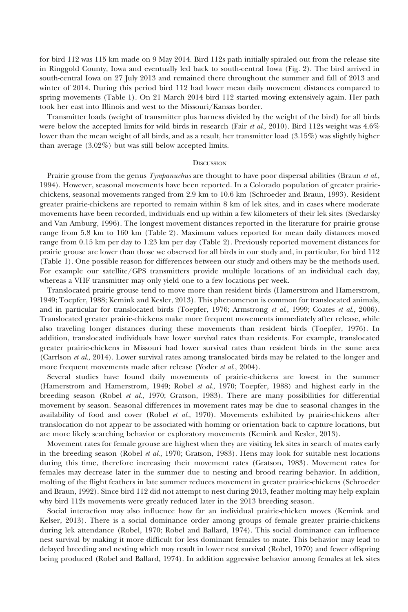for bird 112 was 115 km made on 9 May 2014. Bird 112s path initially spiraled out from the release site in Ringgold County, Iowa and eventually led back to south-central Iowa (Fig. 2). The bird arrived in south-central Iowa on 27 July 2013 and remained there throughout the summer and fall of 2013 and winter of 2014. During this period bird 112 had lower mean daily movement distances compared to spring movements (Table 1). On 21 March 2014 bird 112 started moving extensively again. Her path took her east into Illinois and west to the Missouri/Kansas border.

Transmitter loads (weight of transmitter plus harness divided by the weight of the bird) for all birds were below the accepted limits for wild birds in research (Fair *et al.*, 2010). Bird 112s weight was  $4.6\%$ lower than the mean weight of all birds, and as a result, her transmitter load (3.15%) was slightly higher than average (3.02%) but was still below accepted limits.

#### **DISCUSSION**

Prairie grouse from the genus Tympanuchus are thought to have poor dispersal abilities (Braun et al., 1994). However, seasonal movements have been reported. In a Colorado population of greater prairiechickens, seasonal movements ranged from 2.9 km to 10.6 km (Schroeder and Braun, 1993). Resident greater prairie-chickens are reported to remain within 8 km of lek sites, and in cases where moderate movements have been recorded, individuals end up within a few kilometers of their lek sites (Svedarsky and Van Amburg, 1996). The longest movement distances reported in the literature for prairie grouse range from 5.8 km to 160 km (Table 2). Maximum values reported for mean daily distances moved range from 0.15 km per day to 1.23 km per day (Table 2). Previously reported movement distances for prairie grouse are lower than those we observed for all birds in our study and, in particular, for bird 112 (Table 1). One possible reason for differences between our study and others may be the methods used. For example our satellite/GPS transmitters provide multiple locations of an individual each day, whereas a VHF transmitter may only yield one to a few locations per week.

Translocated prairie grouse tend to move more than resident birds (Hamerstrom and Hamerstrom, 1949; Toepfer, 1988; Kemink and Kesler, 2013). This phenomenon is common for translocated animals, and in particular for translocated birds (Toepfer, 1976; Armstrong et al., 1999; Coates et al., 2006). Translocated greater prairie-chickens make more frequent movements immediately after release, while also traveling longer distances during these movements than resident birds (Toepfer, 1976). In addition, translocated individuals have lower survival rates than residents. For example, translocated greater prairie-chickens in Missouri had lower survival rates than resident birds in the same area (Carrlson et al., 2014). Lower survival rates among translocated birds may be related to the longer and more frequent movements made after release (Yoder et al., 2004).

Several studies have found daily movements of prairie-chickens are lowest in the summer (Hamerstrom and Hamerstrom, 1949; Robel et al., 1970; Toepfer, 1988) and highest early in the breeding season (Robel et al., 1970; Gratson, 1983). There are many possibilities for differential movement by season. Seasonal differences in movement rates may be due to seasonal changes in the availability of food and cover (Robel et al., 1970). Movements exhibited by prairie-chickens after translocation do not appear to be associated with homing or orientation back to capture locations, but are more likely searching behavior or exploratory movements (Kemink and Kesler, 2013).

Movement rates for female grouse are highest when they are visiting lek sites in search of mates early in the breeding season (Robel et al., 1970; Gratson, 1983). Hens may look for suitable nest locations during this time, therefore increasing their movement rates (Gratson, 1983). Movement rates for females may decrease later in the summer due to nesting and brood rearing behavior. In addition, molting of the flight feathers in late summer reduces movement in greater prairie-chickens (Schroeder and Braun, 1992). Since bird 112 did not attempt to nest during 2013, feather molting may help explain why bird 112s movements were greatly reduced later in the 2013 breeding season.

Social interaction may also influence how far an individual prairie-chicken moves (Kemink and Kelser, 2013). There is a social dominance order among groups of female greater prairie-chickens during lek attendance (Robel, 1970; Robel and Ballard, 1974). This social dominance can influence nest survival by making it more difficult for less dominant females to mate. This behavior may lead to delayed breeding and nesting which may result in lower nest survival (Robel, 1970) and fewer offspring being produced (Robel and Ballard, 1974). In addition aggressive behavior among females at lek sites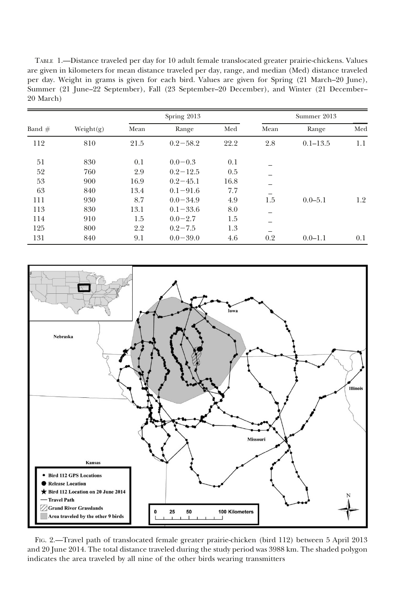TABLE 1.—Distance traveled per day for 10 adult female translocated greater prairie-chickens. Values are given in kilometers for mean distance traveled per day, range, and median (Med) distance traveled per day. Weight in grams is given for each bird. Values are given for Spring (21 March–20 June), Summer (21 June–22 September), Fall (23 September–20 December), and Winter (21 December– 20 March)

| Band $#$ | Weight(g) | Spring 2013 |              |      | Summer 2013 |              |               |  |
|----------|-----------|-------------|--------------|------|-------------|--------------|---------------|--|
|          |           | Mean        | Range        | Med  | Mean        | Range        | Med           |  |
| 112      | 810       | 21.5        | $0.2 - 58.2$ | 22.2 | 2.8         | $0.1 - 13.5$ | 1.1           |  |
| 51       | 830       | 0.1         | $0.0 - 0.3$  | 0.1  |             |              |               |  |
| 52       | 760       | 2.9         | $0.2 - 12.5$ | 0.5  | -           |              |               |  |
| 53       | 900       | 16.9        | $0.2 - 45.1$ | 16.8 |             |              |               |  |
| 63       | 840       | 13.4        | $0.1 - 91.6$ | 7.7  |             |              |               |  |
| 111      | 930       | 8.7         | $0.0 - 34.9$ | 4.9  | 1.5         | $0.0 - 5.1$  | $1.2^{\circ}$ |  |
| 113      | 830       | 13.1        | $0.1 - 33.6$ | 8.0  |             |              |               |  |
| 114      | 910       | 1.5         | $0.0 - 2.7$  | 1.5  |             |              |               |  |
| 125      | 800       | 2.2         | $0.2 - 7.5$  | 1.3  |             |              |               |  |
| 131      | 840       | 9.1         | $0.0 - 39.0$ | 4.6  | 0.2         | $0.0 - 1.1$  | 0.1           |  |



FIG. 2.—Travel path of translocated female greater prairie-chicken (bird 112) between 5 April 2013 and 20 June 2014. The total distance traveled during the study period was 3988 km. The shaded polygon indicates the area traveled by all nine of the other birds wearing transmitters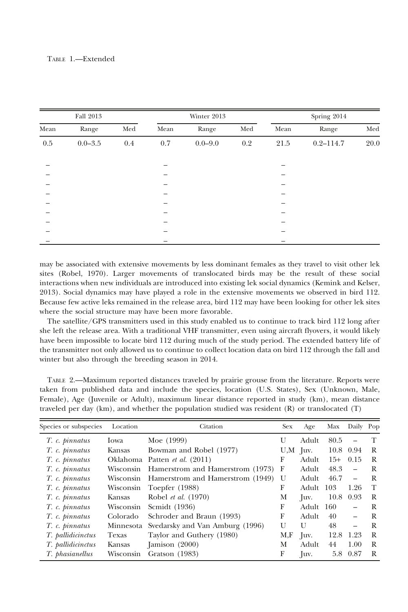| Fall 2013 |             |         | Winter 2013 |             |     |      | Spring 2014   |      |  |  |
|-----------|-------------|---------|-------------|-------------|-----|------|---------------|------|--|--|
| Mean      | Range       | Med     | Mean        | Range       | Med | Mean | Range         | Med  |  |  |
| 0.5       | $0.0 - 3.5$ | $0.4\,$ | 0.7         | $0.0 - 9.0$ | 0.2 | 21.5 | $0.2 - 114.7$ | 20.0 |  |  |
|           |             |         |             |             |     |      |               |      |  |  |
|           |             |         |             |             |     |      |               |      |  |  |
|           |             |         |             |             |     |      |               |      |  |  |
|           |             |         |             |             |     |      |               |      |  |  |
|           |             |         |             |             |     |      |               |      |  |  |
|           |             |         |             |             |     |      |               |      |  |  |
|           |             |         |             |             |     |      |               |      |  |  |
|           |             |         |             |             |     |      |               |      |  |  |
|           |             |         | -           |             |     | -    |               |      |  |  |

may be associated with extensive movements by less dominant females as they travel to visit other lek sites (Robel, 1970). Larger movements of translocated birds may be the result of these social interactions when new individuals are introduced into existing lek social dynamics (Kemink and Kelser, 2013). Social dynamics may have played a role in the extensive movements we observed in bird 112. Because few active leks remained in the release area, bird 112 may have been looking for other lek sites where the social structure may have been more favorable.

The satellite/GPS transmitters used in this study enabled us to continue to track bird 112 long after she left the release area. With a traditional VHF transmitter, even using aircraft flyovers, it would likely have been impossible to locate bird 112 during much of the study period. The extended battery life of the transmitter not only allowed us to continue to collect location data on bird 112 through the fall and winter but also through the breeding season in 2014.

TABLE 2.—Maximum reported distances traveled by prairie grouse from the literature. Reports were taken from published data and include the species, location (U.S. States), Sex (Unknown, Male, Female), Age (Juvenile or Adult), maximum linear distance reported in study (km), mean distance traveled per day (km), and whether the population studied was resident (R) or translocated (T)

| Species or subspecies<br>Location |           | Citation                           | Sex         | Age   | Max   | Daily Pop                |        |
|-----------------------------------|-----------|------------------------------------|-------------|-------|-------|--------------------------|--------|
| T. c. pinnatus                    | Iowa      | Moe $(1999)$                       | U           | Adult | 80.5  |                          | T      |
| T. c. pinnatus                    | Kansas    | Bowman and Robel (1977)            | $U, M$ [uv. |       |       | 10.8 0.94                | R      |
| T. c. pinnatus                    |           | Oklahoma Patten et al. (2011)      | F           | Adult | $15+$ | 0.15                     | R      |
| T. c. pinnatus                    | Wisconsin | Hamerstrom and Hamerstrom (1973) F |             | Adult | 48.3  | $\overline{\phantom{0}}$ | R      |
| T. c. pinnatus                    | Wisconsin | Hamerstrom and Hamerstrom (1949)   | U           | Adult | 46.7  |                          | R      |
| T. c. pinnatus                    | Wisconsin | Toepfer $(1988)$                   | F           | Adult | 103   | 1.26                     | $\top$ |
| T. c. pinnatus                    | Kansas    | Robel <i>et al.</i> (1970)         | М           | Juv.  | 10.8  | 0.93                     | R      |
| T. c. pinnatus                    | Wisconsin | Scmidt (1936)                      | F           | Adult | 160   | $\overline{\phantom{0}}$ | R      |
| T. c. pinnatus                    | Colorado  | Schroder and Braun (1993)          | F           | Adult | 40    | $\overline{\phantom{0}}$ | R      |
| T. c. pinnatus                    | Minnesota | Svedarsky and Van Amburg (1996)    | U           | U     | 48    | $\overline{\phantom{0}}$ | R      |
| T. pallidicinctus                 | Texas     | Taylor and Guthery (1980)          | M,F         | Juv.  | 12.8  | 1.23                     | R      |
| T. pallidicinctus                 | Kansas    | Jamison $(2000)$                   | М           | Adult | 44    | 1.00                     | R      |
| T. phasianellus                   | Wisconsin | Gratson (1983)                     | F           | Juv.  | 5.8   | 0.87                     | R      |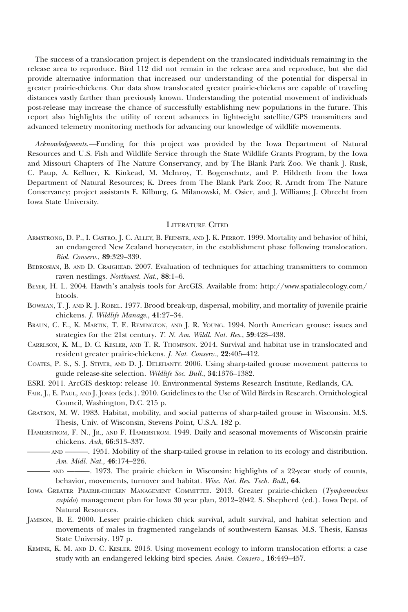The success of a translocation project is dependent on the translocated individuals remaining in the release area to reproduce. Bird 112 did not remain in the release area and reproduce, but she did provide alternative information that increased our understanding of the potential for dispersal in greater prairie-chickens. Our data show translocated greater prairie-chickens are capable of traveling distances vastly farther than previously known. Understanding the potential movement of individuals post-release may increase the chance of successfully establishing new populations in the future. This report also highlights the utility of recent advances in lightweight satellite/GPS transmitters and advanced telemetry monitoring methods for advancing our knowledge of wildlife movements.

Acknowledgments.—Funding for this project was provided by the Iowa Department of Natural Resources and U.S. Fish and Wildlife Service through the State Wildlife Grants Program, by the Iowa and Missouri Chapters of The Nature Conservancy, and by The Blank Park Zoo. We thank J. Rusk, C. Paup, A. Kellner, K. Kinkead, M. McInroy, T. Bogenschutz, and P. Hildreth from the Iowa Department of Natural Resources; K. Drees from The Blank Park Zoo; R. Arndt from The Nature Conservancy; project assistants E. Kilburg, G. Milanowski, M. Osier, and J. Williams; J. Obrecht from Iowa State University.

### LITERATURE CITED

- ARMSTRONG, D. P., I. CASTRO, J. C. ALLEY, B. FEENSTR, AND J. K. PERROT. 1999. Mortality and behavior of hihi, an endangered New Zealand honeyeater, in the establishment phase following translocation. Biol. Conserv., 89:329–339.
- BEDROSIAN, B. AND D. CRAIGHEAD. 2007. Evaluation of techniques for attaching transmitters to common raven nestlings. Northwest. Nat., 88:1–6.
- BEYER, H. L. 2004. Hawth's analysis tools for ArcGIS. Available from: http://www.spatialecology.com/ htools.
- BOWMAN, T. J. AND R. J. ROBEL. 1977. Brood break-up, dispersal, mobility, and mortality of juvenile prairie chickens. J. Wildlife Manage., 41:27–34.
- BRAUN, C. E., K. MARTIN, T. E. REMINGTON, AND J. R. YOUNG. 1994. North American grouse: issues and strategies for the 21st century. T. N. Am. Wildl. Nat. Res., 59:428–438.
- CARRLSON, K. M., D. C. KESLER, AND T. R. THOMPSON. 2014. Survival and habitat use in translocated and resident greater prairie-chickens. J. Nat. Conserv., 22:405–412.
- COATES, P. S., S. J. STIVER, AND D. J. DELEHANTY. 2006. Using sharp-tailed grouse movement patterns to guide release-site selection. Wildlife Soc. Bull., 34:1376–1382.
- ESRI. 2011. ArcGIS desktop: release 10. Environmental Systems Research Institute, Redlands, CA.
- FAIR, J., E. PAUL, AND J. JONES (eds.). 2010. Guidelines to the Use of Wild Birds in Research. Ornithological Council, Washington, D.C. 215 p.
- GRATSON, M. W. 1983. Habitat, mobility, and social patterns of sharp-tailed grouse in Wisconsin. M.S. Thesis, Univ. of Wisconsin, Stevens Point, U.S.A. 182 p.
- HAMERSTROM, F. N., JR., AND F. HAMERSTROM. 1949. Daily and seasonal movements of Wisconsin prairie chickens. Auk, 66:313–337.
- ——— AND ———. 1951. Mobility of the sharp-tailed grouse in relation to its ecology and distribution. Am. Midl. Nat., 46:174–226.
- AND ———. 1973. The prairie chicken in Wisconsin: highlights of a 22-year study of counts, behavior, movements, turnover and habitat. Wisc. Nat. Res. Tech. Bull., 64.
- IOWA GREATER PRAIRIE-CHICKEN MANAGEMENT COMMITTEE. 2013. Greater prairie-chicken (Tympanuchus cupido) management plan for Iowa 30 year plan, 2012–2042. S. Shepherd (ed.). Iowa Dept. of Natural Resources.
- JAMISON, B. E. 2000. Lesser prairie-chicken chick survival, adult survival, and habitat selection and movements of males in fragmented rangelands of southwestern Kansas. M.S. Thesis, Kansas State University. 197 p.
- KEMINK, K. M. AND D. C. KESLER. 2013. Using movement ecology to inform translocation efforts: a case study with an endangered lekking bird species. Anim. Conserv., 16:449–457.